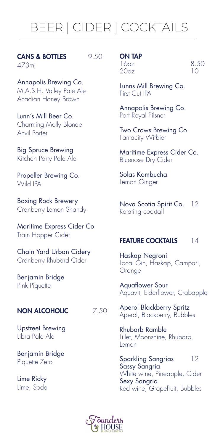# BEER | CIDER | COCKTAILS

CANS & BOTTLES 9.50 473ml

Annapolis Brewing Co. M.A.S.H. Valley Pale Ale Acadian Honey Brown

Lunn's Mill Beer Co. Charming Molly Blonde Anvil Porter

Big Spruce Brewing Kitchen Party Pale Ale

Propeller Brewing Co. Wild IPA

Boxing Rock Brewery Cranberry Lemon Shandy

Maritime Express Cider Co Train Hopper Cider

Chain Yard Urban Cidery Cranberry Rhubard Cider

Benjamin Bridge Pink Piquette

### NON ALCOHOLIC 7.50

Upstreet Brewing Libra Pale Ale

Benjamin Bridge Piquette Zero

Lime Ricky Lime, Soda

# ON TAP

 $20<sub>0</sub>$ 

16oz 8.50<br>20oz 10

Lunns Mill Brewing Co. First Cut IPA

Annapolis Brewing Co. Port Royal Pilsner

Two Crows Brewing Co. Fantacity Witbier

Maritime Express Cider Co. Bluenose Dry Cider

Solas Kombucha Lemon Ginger

Nova Scotia Spirit Co. 12 Rotating cocktail

### **FEATURE COCKTAILS** 14

Haskap Negroni Local Gin, Haskap, Campari, **Orange** 

Aquaflower Sour Aquavit, Elderflower, Crabapple

Aperol Blackberry Spritz Aperol, Blackberry, Bubbles

Rhubarb Ramble Lillet, Moonshine, Rhubarb, Lemon

Sparkling Sangrias 12 Sassy Sangria White wine, Pineapple, Cider Sexy Sangria Red wine, Grapefruit, Bubbles

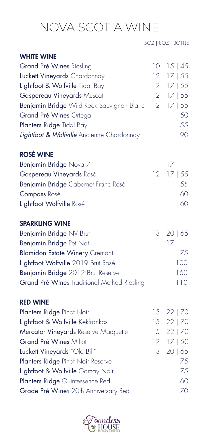# NOVA SCOTIA WINE

5OZ | 8OZ | BOTTLE

# WHITE WINE

Grand Pré Wines Riesling 10 | 15 | 45 Luckett Vineyards Chardonnay 12 | 17 | 55 Lightfoot & Wolfville Tidal Bay 12 | 17 | 55 Gaspereau Vineyards Muscat 12 | 17 | 55 Benjamin Bridge Wild Rock Sauvignon Blanc 12 | 17 | 55 Grand Pré Wines Ortega 50 Planters Ridge Tidal Bay 55 **Lightfoot & Wolfville** Ancienne Chardonnay 90

# ROSÉ WINE

| Benjamin Bridge Nova 7              |                |
|-------------------------------------|----------------|
| Gaspereau Vineyards Rosé            | $12$   17   55 |
| Benjamin Bridge Cabernet Franc Rosé | 55             |
| <b>Compass Rosé</b>                 | 60             |
| Lightfoot Wolfville Rosé            | 60             |
|                                     |                |

# SPARKLING WINE

| Benjamin Bridge NV Brut                     | 13   20   65 |
|---------------------------------------------|--------------|
| Benjamin Bridge Pet Nat                     |              |
| <b>Blomidon Estate Winery Cremant</b>       | 75           |
| Lightfoot Wolfville 2019 Brut Rosé          | 100          |
| Benjamin Bridge 2012 Brut Reserve           | 160          |
| Grand Pré Wines Traditional Method Riesling | 110          |

# RED WINE

| Planters Ridge Pinot Noir            | 15   22   70  |
|--------------------------------------|---------------|
| Lightfoot & Wolfville Kekfrankos     | 15   22   70  |
| Mercator Vineyards Reserve Marquette | 15   22   70  |
| Grand Pré Wines Millot               | $12$   17  50 |
| Luckett Vineyards "Old Bill"         | 13   20   65  |
| Planters Ridge Pinot Noir Reserve    | 75            |
| Lightfoot & Wolfville Gamay Noir     | 75            |
| Planters Ridge Quintessence Red      | 60            |
| Grade Pré Wines 20th Anniversary Red | 70.           |
|                                      |               |

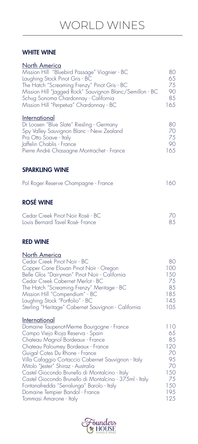# WHITE WINE

| <b>North America</b><br>Mission Hill "Bluebird Passage" Viognier - BC<br>Laughing Stock Pinot Gris - BC<br>The Hatch "Screaming Frenzy" Pinot Gris - BC<br>Mission Hill "Jagged Rock" Sauvignon Blanc/Semillon - BC<br>Schug Sonoma Chardonnay - California<br>Mission Hill "Perpetua" Chardonnay - BC                                                                                                                                                                                                                                 | 80<br>65<br>75<br>90<br>85<br>165                                          |
|----------------------------------------------------------------------------------------------------------------------------------------------------------------------------------------------------------------------------------------------------------------------------------------------------------------------------------------------------------------------------------------------------------------------------------------------------------------------------------------------------------------------------------------|----------------------------------------------------------------------------|
| <u>International</u><br>Dr Loosen "Blue Slate" Riesling - Germany<br>Spy Valley Sauvignon Blanc - New Zealand<br>Pra Otto Soave - Italy<br>Jaffelin Chablis - France<br>Pierre André Chassagne Montrachet - France                                                                                                                                                                                                                                                                                                                     | 80<br>70<br>75<br>90<br>165                                                |
| <b>SPARKLING WINE</b><br>Pol Roger Reserve Champagne - France                                                                                                                                                                                                                                                                                                                                                                                                                                                                          | 160                                                                        |
| <b>ROSÉ WINE</b><br>Cedar Creek Pinot Noir Rosé - BC<br>Louis Bernard Tavel Rosé-France                                                                                                                                                                                                                                                                                                                                                                                                                                                | 70<br>85                                                                   |
| <b>RED WINE</b>                                                                                                                                                                                                                                                                                                                                                                                                                                                                                                                        |                                                                            |
| <b>North America</b><br>Cedar Creek Pinot Noir - BC<br>Copper Cane Elouan Pinot Noir - Oregon<br>Belle Glos "Dairyman" Pinot Noir - California<br>Cedar Creek Cabernet Merlot - BC<br>The Hatch "Screaming Frenzy" Meritage - BC<br>Mission Hill "Compendium" - BC<br>Laughing Stock "Portfolio" - BC<br>Sterling "Heritage" Cabernet Sauvignon - California                                                                                                                                                                           | 80<br>100<br>150<br>75<br>85<br>185<br>145<br>105                          |
| <u>International</u><br>Domaine Taupenot-Merme Bourgogne - France<br>Campo Viejo Rioja Reserva - Spain<br>Chateau Magnol Bordeaux - France<br>Chateau Paloumey Bordeaux - France<br>Guigal Cotes Du Rhone - France<br>Villa Cafaggio Cortaccio Cabernet Sauvignon - Italy<br>Mitolo "Jester" Shiraz - Australia<br>Castel Giocondo Brunello di Montalcino - Italy<br>Castel Giocondo Brunello di Montalcino - 375ml - Italy<br>Fontanafredda "Serralunga" Barolo - Italy<br>Domaine Tempier Bandol - France<br>Tommasi Amarone - Italy | 110<br>65<br>85<br>120<br>70<br>95<br>70<br>150<br>75<br>150<br>195<br>125 |